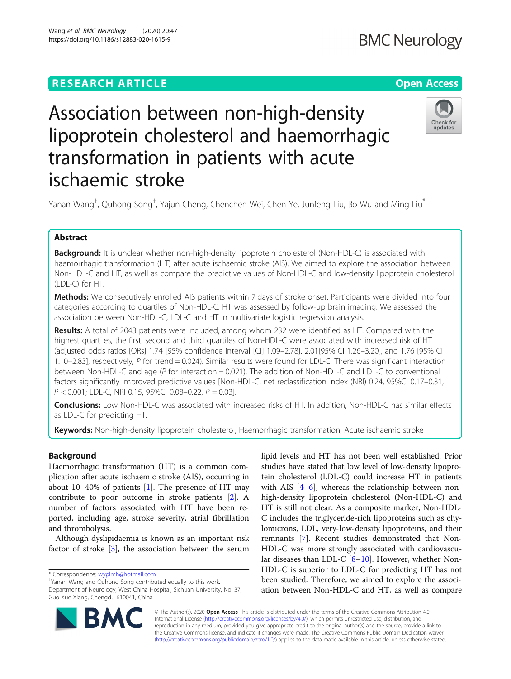# Wang et al. BMC Neurology (2020) 20:47 https://doi.org/10.1186/s12883-020-1615-9



# Association between non-high-density lipoprotein cholesterol and haemorrhagic transformation in patients with acute ischaemic stroke

Yanan Wang<sup>†</sup>, Quhong Song<sup>†</sup>, Yajun Cheng, Chenchen Wei, Chen Ye, Junfeng Liu, Bo Wu and Ming Liu<sup>\*</sup>

# Abstract

Background: It is unclear whether non-high-density lipoprotein cholesterol (Non-HDL-C) is associated with haemorrhagic transformation (HT) after acute ischaemic stroke (AIS). We aimed to explore the association between Non-HDL-C and HT, as well as compare the predictive values of Non-HDL-C and low-density lipoprotein cholesterol (LDL-C) for HT.

Methods: We consecutively enrolled AIS patients within 7 days of stroke onset. Participants were divided into four categories according to quartiles of Non-HDL-C. HT was assessed by follow-up brain imaging. We assessed the association between Non-HDL-C, LDL-C and HT in multivariate logistic regression analysis.

Results: A total of 2043 patients were included, among whom 232 were identified as HT. Compared with the highest quartiles, the first, second and third quartiles of Non-HDL-C were associated with increased risk of HT (adjusted odds ratios [ORs] 1.74 [95% confidence interval [CI] 1.09–2.78], 2.01[95% CI 1.26–3.20], and 1.76 [95% CI 1.10–2.83], respectively, P for trend = 0.024). Similar results were found for LDL-C. There was significant interaction between Non-HDL-C and age ( $P$  for interaction = 0.021). The addition of Non-HDL-C and LDL-C to conventional factors significantly improved predictive values [Non-HDL-C, net reclassification index (NRI) 0.24, 95%CI 0.17–0.31,  $P < 0.001$ ; LDL-C, NRI 0.15, 95%CI 0.08-0.22,  $P = 0.03$ ].

Conclusions: Low Non-HDL-C was associated with increased risks of HT. In addition, Non-HDL-C has similar effects as LDL-C for predicting HT.

Keywords: Non-high-density lipoprotein cholesterol, Haemorrhagic transformation, Acute ischaemic stroke

# Background

Haemorrhagic transformation (HT) is a common complication after acute ischaemic stroke (AIS), occurring in about 10–40% of patients [[1](#page-7-0)]. The presence of HT may contribute to poor outcome in stroke patients [[2\]](#page-7-0). A number of factors associated with HT have been reported, including age, stroke severity, atrial fibrillation and thrombolysis.

Although dyslipidaemia is known as an important risk factor of stroke [\[3](#page-7-0)], the association between the serum

\* Correspondence: [wyplmh@hotmail.com](mailto:wyplmh@hotmail.com) †

Yanan Wang and Quhong Song contributed equally to this work. Department of Neurology, West China Hospital, Sichuan University, No. 37, Guo Xue Xiang, Chengdu 610041, China

lipid levels and HT has not been well established. Prior studies have stated that low level of low-density lipoprotein cholesterol (LDL-C) could increase HT in patients with AIS [\[4](#page-7-0)–[6](#page-7-0)], whereas the relationship between nonhigh-density lipoprotein cholesterol (Non-HDL-C) and HT is still not clear. As a composite marker, Non-HDL-C includes the triglyceride-rich lipoproteins such as chylomicrons, LDL, very-low-density lipoproteins, and their remnants [[7\]](#page-7-0). Recent studies demonstrated that Non-HDL-C was more strongly associated with cardiovascular diseases than LDL-C [[8](#page-7-0)–[10\]](#page-7-0). However, whether Non-HDL-C is superior to LDL-C for predicting HT has not been studied. Therefore, we aimed to explore the association between Non-HDL-C and HT, as well as compare



© The Author(s). 2020 Open Access This article is distributed under the terms of the Creative Commons Attribution 4.0 International License [\(http://creativecommons.org/licenses/by/4.0/](http://creativecommons.org/licenses/by/4.0/)), which permits unrestricted use, distribution, and reproduction in any medium, provided you give appropriate credit to the original author(s) and the source, provide a link to the Creative Commons license, and indicate if changes were made. The Creative Commons Public Domain Dedication waiver [\(http://creativecommons.org/publicdomain/zero/1.0/](http://creativecommons.org/publicdomain/zero/1.0/)) applies to the data made available in this article, unless otherwise stated.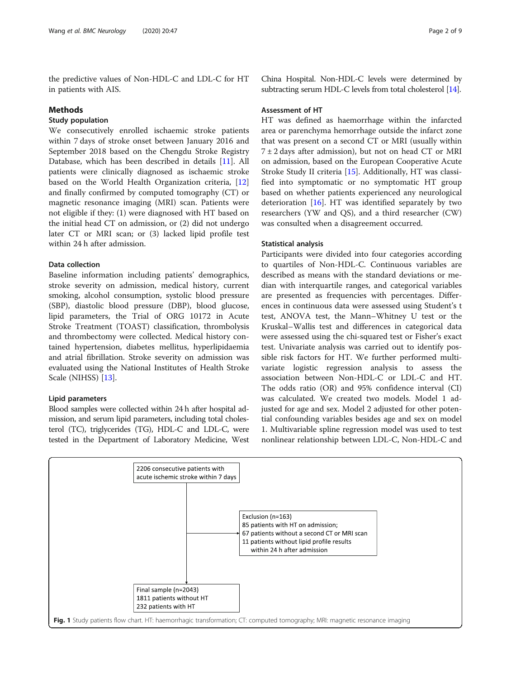<span id="page-1-0"></span>the predictive values of Non-HDL-C and LDL-C for HT in patients with AIS.

### Methods

# Study population

We consecutively enrolled ischaemic stroke patients within 7 days of stroke onset between January 2016 and September 2018 based on the Chengdu Stroke Registry Database, which has been described in details [\[11\]](#page-7-0). All patients were clinically diagnosed as ischaemic stroke based on the World Health Organization criteria, [[12](#page-7-0)] and finally confirmed by computed tomography (CT) or magnetic resonance imaging (MRI) scan. Patients were not eligible if they: (1) were diagnosed with HT based on the initial head CT on admission, or (2) did not undergo later CT or MRI scan; or (3) lacked lipid profile test within 24 h after admission.

#### Data collection

Baseline information including patients' demographics, stroke severity on admission, medical history, current smoking, alcohol consumption, systolic blood pressure (SBP), diastolic blood pressure (DBP), blood glucose, lipid parameters, the Trial of ORG 10172 in Acute Stroke Treatment (TOAST) classification, thrombolysis and thrombectomy were collected. Medical history contained hypertension, diabetes mellitus, hyperlipidaemia and atrial fibrillation. Stroke severity on admission was evaluated using the National Institutes of Health Stroke Scale (NIHSS) [\[13\]](#page-7-0).

#### Lipid parameters

Blood samples were collected within 24 h after hospital admission, and serum lipid parameters, including total cholesterol (TC), triglycerides (TG), HDL-C and LDL-C, were tested in the Department of Laboratory Medicine, West

China Hospital. Non-HDL-C levels were determined by subtracting serum HDL-C levels from total cholesterol [\[14\]](#page-7-0).

#### Assessment of HT

HT was defined as haemorrhage within the infarcted area or parenchyma hemorrhage outside the infarct zone that was present on a second CT or MRI (usually within  $7 \pm 2$  days after admission), but not on head CT or MRI on admission, based on the European Cooperative Acute Stroke Study II criteria [[15\]](#page-7-0). Additionally, HT was classified into symptomatic or no symptomatic HT group based on whether patients experienced any neurological deterioration [\[16\]](#page-8-0). HT was identified separately by two researchers (YW and QS), and a third researcher (CW) was consulted when a disagreement occurred.

#### Statistical analysis

Participants were divided into four categories according to quartiles of Non-HDL-C. Continuous variables are described as means with the standard deviations or median with interquartile ranges, and categorical variables are presented as frequencies with percentages. Differences in continuous data were assessed using Student's t test, ANOVA test, the Mann–Whitney U test or the Kruskal–Wallis test and differences in categorical data were assessed using the chi-squared test or Fisher's exact test. Univariate analysis was carried out to identify possible risk factors for HT. We further performed multivariate logistic regression analysis to assess the association between Non-HDL-C or LDL-C and HT. The odds ratio (OR) and 95% confidence interval (CI) was calculated. We created two models. Model 1 adjusted for age and sex. Model 2 adjusted for other potential confounding variables besides age and sex on model 1. Multivariable spline regression model was used to test nonlinear relationship between LDL-C, Non-HDL-C and

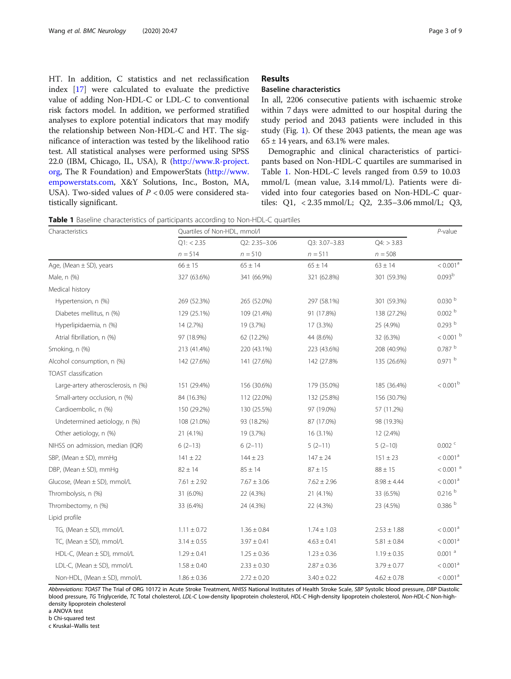<span id="page-2-0"></span>HT. In addition, C statistics and net reclassification index [\[17\]](#page-8-0) were calculated to evaluate the predictive value of adding Non-HDL-C or LDL-C to conventional risk factors model. In addition, we performed stratified analyses to explore potential indicators that may modify the relationship between Non-HDL-C and HT. The significance of interaction was tested by the likelihood ratio test. All statistical analyses were performed using SPSS 22.0 (IBM, Chicago, IL, USA), R [\(http://www.R-project.](http://www.r-project.org) [org](http://www.r-project.org), The R Foundation) and EmpowerStats ([http://www.](http://www.empowerstats.com) [empowerstats.com,](http://www.empowerstats.com) X&Y Solutions, Inc., Boston, MA, USA). Two-sided values of  $P < 0.05$  were considered statistically significant.

#### Results

# Baseline characteristics

In all, 2206 consecutive patients with ischaemic stroke within 7 days were admitted to our hospital during the study period and 2043 patients were included in this study (Fig. [1](#page-1-0)). Of these 2043 patients, the mean age was  $65 \pm 14$  years, and 63.1% were males.

Demographic and clinical characteristics of participants based on Non-HDL-C quartiles are summarised in Table 1. Non-HDL-C levels ranged from 0.59 to 10.03 mmol/L (mean value, 3.14 mmol/L). Patients were divided into four categories based on Non-HDL-C quartiles: Q1, < 2.35 mmol/L; Q2, 2.35–3.06 mmol/L; Q3,

Table 1 Baseline characteristics of participants according to Non-HDL-C quartiles

| Characteristics                     | Quartiles of Non-HDL, mmol/l |                 |                 |                 |                        |
|-------------------------------------|------------------------------|-----------------|-----------------|-----------------|------------------------|
|                                     | Q1: < 2.35                   | Q2: 2.35-3.06   | Q3: 3.07-3.83   | Q4: > 3.83      |                        |
|                                     | $n = 514$                    | $n = 510$       | $n = 511$       | $n = 508$       |                        |
| Age, (Mean $\pm$ SD), years         | $66 \pm 15$                  | $65 \pm 14$     | $65 \pm 14$     | $63 \pm 14$     | $< 0.001^{\rm a}$      |
| Male, n (%)                         | 327 (63.6%)                  | 341 (66.9%)     | 321 (62.8%)     | 301 (59.3%)     | 0.093 <sup>b</sup>     |
| Medical history                     |                              |                 |                 |                 |                        |
| Hypertension, n (%)                 | 269 (52.3%)                  | 265 (52.0%)     | 297 (58.1%)     | 301 (59.3%)     | 0.030 <sup>b</sup>     |
| Diabetes mellitus, n (%)            | 129 (25.1%)                  | 109 (21.4%)     | 91 (17.8%)      | 138 (27.2%)     | 0.002 <sup>b</sup>     |
| Hyperlipidaemia, n (%)              | 14 (2.7%)                    | 19 (3.7%)       | 17 (3.3%)       | 25 (4.9%)       | 0.293 <sup>b</sup>     |
| Atrial fibrillation, n (%)          | 97 (18.9%)                   | 62 (12.2%)      | 44 (8.6%)       | 32 (6.3%)       | $< 0.001$ b            |
| Smoking, n (%)                      | 213 (41.4%)                  | 220 (43.1%)     | 223 (43.6%)     | 208 (40.9%)     | $0.787h{~}$            |
| Alcohol consumption, n (%)          | 142 (27.6%)                  | 141 (27.6%)     | 142 (27.8%)     | 135 (26.6%)     | $0.971$ b              |
| <b>TOAST</b> classification         |                              |                 |                 |                 |                        |
| Large-artery atherosclerosis, n (%) | 151 (29.4%)                  | 156 (30.6%)     | 179 (35.0%)     | 185 (36.4%)     | < 0.001 <sup>b</sup>   |
| Small-artery occlusion, n (%)       | 84 (16.3%)                   | 112 (22.0%)     | 132 (25.8%)     | 156 (30.7%)     |                        |
| Cardioembolic, n (%)                | 150 (29.2%)                  | 130 (25.5%)     | 97 (19.0%)      | 57 (11.2%)      |                        |
| Undetermined aetiology, n (%)       | 108 (21.0%)                  | 93 (18.2%)      | 87 (17.0%)      | 98 (19.3%)      |                        |
| Other aetiology, n (%)              | 21 (4.1%)                    | 19 (3.7%)       | 16 (3.1%)       | 12 (2.4%)       |                        |
| NIHSS on admission, median (IQR)    | $6(2-13)$                    | $6(2-11)$       | $5(2-11)$       | $5(2-10)$       | $0.002$ <sup>c</sup>   |
| SBP, (Mean $\pm$ SD), mmHg          | $141 \pm 22$                 | $144 \pm 23$    | $147 \pm 24$    | $151 \pm 23$    | < 0.001 <sup>a</sup>   |
| DBP, (Mean $\pm$ SD), mmHg          | $82 \pm 14$                  | $85 \pm 14$     | $87 \pm 15$     | $88 \pm 15$     | $< 0.001$ <sup>a</sup> |
| Glucose, (Mean ± SD), mmol/L        | $7.61 \pm 2.92$              | $7.67 \pm 3.06$ | $7.62 \pm 2.96$ | $8.98 \pm 4.44$ | < 0.001 <sup>a</sup>   |
| Thrombolysis, n (%)                 | 31 (6.0%)                    | 22 (4.3%)       | 21 (4.1%)       | 33 (6.5%)       | 0.216 <sup>b</sup>     |
| Thrombectomy, n (%)                 | 33 (6.4%)                    | 24 (4.3%)       | 22 (4.3%)       | 23 (4.5%)       | 0.386 <sup>b</sup>     |
| Lipid profile                       |                              |                 |                 |                 |                        |
| TG, (Mean ± SD), mmol/L             | $1.11 \pm 0.72$              | $1.36 \pm 0.84$ | $1.74 \pm 1.03$ | $2.53 \pm 1.88$ | < 0.001 <sup>a</sup>   |
| TC, (Mean ± SD), mmol/L             | $3.14 \pm 0.55$              | $3.97 \pm 0.41$ | $4.63 \pm 0.41$ | $5.81 \pm 0.84$ | < 0.001 <sup>a</sup>   |
| HDL-C, (Mean ± SD), mmol/L          | $1.29 \pm 0.41$              | $1.25 \pm 0.36$ | $1.23 \pm 0.36$ | $1.19 \pm 0.35$ | $0.001$ <sup>a</sup>   |
| LDL-C, (Mean ± SD), mmol/L          | $1.58 \pm 0.40$              | $2.33 \pm 0.30$ | $2.87 \pm 0.36$ | $3.79 \pm 0.77$ | < 0.001 <sup>a</sup>   |
| Non-HDL, (Mean ± SD), mmol/L        | $1.86 \pm 0.36$              | $2.72 \pm 0.20$ | $3.40 \pm 0.22$ | $4.62 \pm 0.78$ | < 0.001 <sup>a</sup>   |

Abbreviations: TOAST The Trial of ORG 10172 in Acute Stroke Treatment, NHISS National Institutes of Health Stroke Scale, SBP Systolic blood pressure, DBP Diastolic blood pressure, TG Triglyceride, TC Total cholesterol, LDL-C Low-density lipoprotein cholesterol, HDL-C High-density lipoprotein cholesterol, Non-HDL-C Non-highdensity lipoprotein cholesterol

a ANOVA test b Chi-squared test

c Kruskal–Wallis test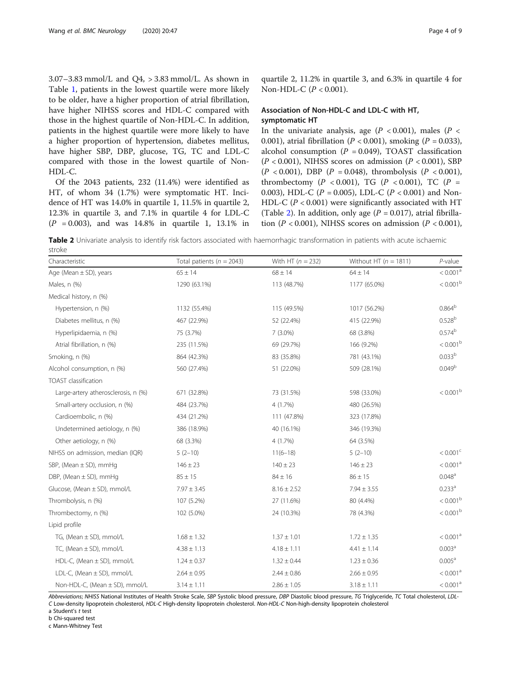$3.07 - 3.83$  mmol/L and  $Q4$ ,  $> 3.83$  mmol/L. As shown in Table [1](#page-2-0), patients in the lowest quartile were more likely to be older, have a higher proportion of atrial fibrillation, have higher NIHSS scores and HDL-C compared with those in the highest quartile of Non-HDL-C. In addition, patients in the highest quartile were more likely to have a higher proportion of hypertension, diabetes mellitus, have higher SBP, DBP, glucose, TG, TC and LDL-C compared with those in the lowest quartile of Non-HDL-C.

Of the 2043 patients, 232 (11.4%) were identified as HT, of whom 34 (1.7%) were symptomatic HT. Incidence of HT was 14.0% in quartile 1, 11.5% in quartile 2, 12.3% in quartile 3, and 7.1% in quartile 4 for LDL-C  $(P = 0.003)$ , and was 14.8% in quartile 1, 13.1% in

quartile 2, 11.2% in quartile 3, and 6.3% in quartile 4 for Non-HDL-C (P < 0.001).

### Association of Non-HDL-C and LDL-C with HT, symptomatic HT

In the univariate analysis, age ( $P < 0.001$ ), males ( $P <$ 0.001), atrial fibrillation ( $P < 0.001$ ), smoking ( $P = 0.033$ ), alcohol consumption  $(P = 0.049)$ , TOAST classification  $(P < 0.001)$ , NIHSS scores on admission  $(P < 0.001)$ , SBP  $(P < 0.001)$ , DBP  $(P = 0.048)$ , thrombolysis  $(P < 0.001)$ , thrombectomy ( $P < 0.001$ ), TG ( $P < 0.001$ ), TC ( $P =$ 0.003), HDL-C ( $P = 0.005$ ), LDL-C ( $P < 0.001$ ) and Non-HDL-C ( $P < 0.001$ ) were significantly associated with HT (Table 2). In addition, only age ( $P = 0.017$ ), atrial fibrillation ( $P < 0.001$ ), NIHSS scores on admission ( $P < 0.001$ ),

Table 2 Univariate analysis to identify risk factors associated with haemorrhagic transformation in patients with acute ischaemic stroke

| Characteristic                      | Total patients ( $n = 2043$ ) | With HT $(n = 232)$ | Without HT ( $n = 1811$ ) | $P$ -value           |
|-------------------------------------|-------------------------------|---------------------|---------------------------|----------------------|
| Age (Mean $\pm$ SD), years          | $65 \pm 14$                   | $68 \pm 14$         | $64 \pm 14$               | < 0.001 <sup>a</sup> |
| Males, n (%)                        | 1290 (63.1%)                  | 113 (48.7%)         | 1177 (65.0%)              | < 0.001 <sup>b</sup> |
| Medical history, n (%)              |                               |                     |                           |                      |
| Hypertension, n (%)                 | 1132 (55.4%)                  | 115 (49.5%)         | 1017 (56.2%)              | $0.864^{b}$          |
| Diabetes mellitus, n (%)            | 467 (22.9%)                   | 52 (22.4%)          | 415 (22.9%)               | 0.528 <sup>b</sup>   |
| Hyperlipidaemia, n (%)              | 75 (3.7%)                     | $7(3.0\%)$          | 68 (3.8%)                 | 0.574 <sup>b</sup>   |
| Atrial fibrillation, n (%)          | 235 (11.5%)                   | 69 (29.7%)          | 166 (9.2%)                | $< 0.001^{\rm b}$    |
| Smoking, n (%)                      | 864 (42.3%)                   | 83 (35.8%)          | 781 (43.1%)               | 0.033 <sup>b</sup>   |
| Alcohol consumption, n (%)          | 560 (27.4%)                   | 51 (22.0%)          | 509 (28.1%)               | 0.049 <sup>b</sup>   |
| TOAST classification                |                               |                     |                           |                      |
| Large-artery atherosclerosis, n (%) | 671 (32.8%)                   | 73 (31.5%)          | 598 (33.0%)               | $< 0.001^{\rm b}$    |
| Small-artery occlusion, n (%)       | 484 (23.7%)                   | 4(1.7%)             | 480 (26.5%)               |                      |
| Cardioembolic, n (%)                | 434 (21.2%)                   | 111 (47.8%)         | 323 (17.8%)               |                      |
| Undetermined aetiology, n (%)       | 386 (18.9%)                   | 40 (16.1%)          | 346 (19.3%)               |                      |
| Other aetiology, n (%)              | 68 (3.3%)                     | 4 (1.7%)            | 64 (3.5%)                 |                      |
| NIHSS on admission, median (IQR)    | $5(2-10)$                     | $11(6-18)$          | $5(2-10)$                 | $< 0.001^{\circ}$    |
| SBP, (Mean $\pm$ SD), mmHq          | $146 \pm 23$                  | $140 \pm 23$        | $146 \pm 23$              | < 0.001 <sup>a</sup> |
| DBP, (Mean $\pm$ SD), mmHg          | $85 \pm 15$                   | $84 \pm 16$         | $86 \pm 15$               | $0.048^{\circ}$      |
| Glucose, (Mean ± SD), mmol/L        | $7.97 \pm 3.45$               | $8.16 \pm 2.52$     | $7.94 \pm 3.55$           | $0.233^a$            |
| Thrombolysis, n (%)                 | 107 (5.2%)                    | 27 (11.6%)          | 80 (4.4%)                 | < 0.001 <sup>b</sup> |
| Thrombectomy, n (%)                 | 102 (5.0%)                    | 24 (10.3%)          | 78 (4.3%)                 | $< 0.001^{\rm b}$    |
| Lipid profile                       |                               |                     |                           |                      |
| TG, (Mean $\pm$ SD), mmol/L         | $1.68 \pm 1.32$               | $1.37 \pm 1.01$     | $1.72 \pm 1.35$           | < 0.001 <sup>a</sup> |
| TC, (Mean $\pm$ SD), mmol/L         | $4.38 \pm 1.13$               | $4.18 \pm 1.11$     | $4.41 \pm 1.14$           | 0.003 <sup>a</sup>   |
| HDL-C, (Mean $\pm$ SD), mmol/L      | $1.24 \pm 0.37$               | $1.32 \pm 0.44$     | $1.23 \pm 0.36$           | $0.005^{\text{a}}$   |
| LDL-C, (Mean ± SD), mmol/L          | $2.64 \pm 0.95$               | $2.44 \pm 0.86$     | $2.66 \pm 0.95$           | < 0.001 <sup>a</sup> |
| Non-HDL-C, (Mean ± SD), mmol/L      | $3.14 \pm 1.11$               | $2.86 \pm 1.05$     | $3.18 \pm 1.11$           | < 0.001 <sup>a</sup> |

Abbreviations; NHISS National Institutes of Health Stroke Scale, SBP Systolic blood pressure, DBP Diastolic blood pressure, TG Triglyceride, TC Total cholesterol, LDL-C Low-density lipoprotein cholesterol, HDL-C High-density lipoprotein cholesterol. Non-HDL-C Non-high-density lipoprotein cholesterol

a Student'<sup>s</sup> t test b Chi-squared test

c Mann-Whitney Test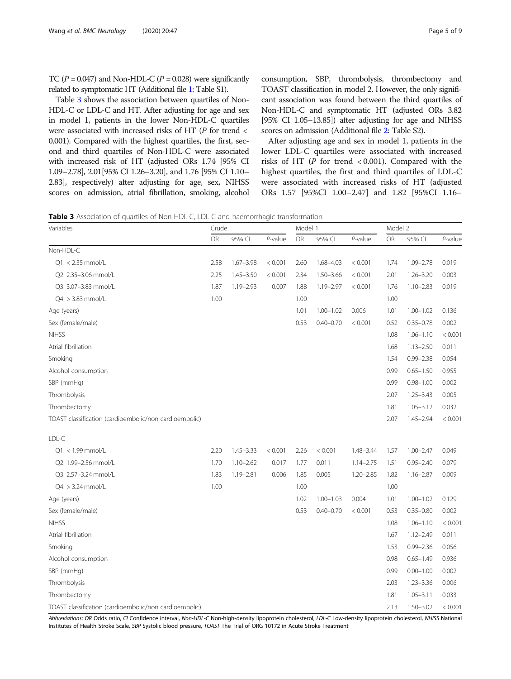<span id="page-4-0"></span>TC ( $P = 0.047$ ) and Non-HDL-C ( $P = 0.028$ ) were significantly related to symptomatic HT (Additional file [1](#page-7-0): Table S1).

Table 3 shows the association between quartiles of Non-HDL-C or LDL-C and HT. After adjusting for age and sex in model 1, patients in the lower Non-HDL-C quartiles were associated with increased risks of HT (P for trend < 0.001). Compared with the highest quartiles, the first, second and third quartiles of Non-HDL-C were associated with increased risk of HT (adjusted ORs 1.74 [95% CI 1.09–2.78], 2.01[95% CI 1.26–3.20], and 1.76 [95% CI 1.10– 2.83], respectively) after adjusting for age, sex, NIHSS scores on admission, atrial fibrillation, smoking, alcohol consumption, SBP, thrombolysis, thrombectomy and TOAST classification in model 2. However, the only significant association was found between the third quartiles of Non-HDL-C and symptomatic HT (adjusted ORs 3.82 [95% CI 1.05–13.85]) after adjusting for age and NIHSS scores on admission (Additional file [2](#page-7-0): Table S2).

After adjusting age and sex in model 1, patients in the lower LDL-C quartiles were associated with increased risks of HT (P for trend < 0.001). Compared with the highest quartiles, the first and third quartiles of LDL-C were associated with increased risks of HT (adjusted ORs 1.57 [95%CI 1.00–2.47] and 1.82 [95%CI 1.16–

Table 3 Association of quartiles of Non-HDL-C, LDL-C and haemorrhagic transformation

| Variables                                              | Crude     |               |         | Model 1 |               |               | Model 2   |               |            |
|--------------------------------------------------------|-----------|---------------|---------|---------|---------------|---------------|-----------|---------------|------------|
|                                                        | <b>OR</b> | 95% CI        | P-value | OR      | 95% CI        | P-value       | <b>OR</b> | 95% CI        | $P$ -value |
| Non-HDL-C                                              |           |               |         |         |               |               |           |               |            |
| $Q1: < 2.35$ mmol/L                                    | 2.58      | $1.67 - 3.98$ | < 0.001 | 2.60    | 1.68-4.03     | < 0.001       | 1.74      | $1.09 - 2.78$ | 0.019      |
| Q2: 2.35-3.06 mmol/L                                   | 2.25      | $1.45 - 3.50$ | < 0.001 | 2.34    | $1.50 - 3.66$ | < 0.001       | 2.01      | $1.26 - 3.20$ | 0.003      |
| Q3: 3.07-3.83 mmol/L                                   | 1.87      | $1.19 - 2.93$ | 0.007   | 1.88    | $1.19 - 2.97$ | < 0.001       | 1.76      | $1.10 - 2.83$ | 0.019      |
| $Q4:$ > 3.83 mmol/L                                    | 1.00      |               |         | 1.00    |               |               | 1.00      |               |            |
| Age (years)                                            |           |               |         | 1.01    | $1.00 - 1.02$ | 0.006         | 1.01      | $1.00 - 1.02$ | 0.136      |
| Sex (female/male)                                      |           |               |         | 0.53    | $0.40 - 0.70$ | < 0.001       | 0.52      | $0.35 - 0.78$ | 0.002      |
| <b>NIHSS</b>                                           |           |               |         |         |               |               | 1.08      | $1.06 - 1.10$ | < 0.001    |
| Atrial fibrillation                                    |           |               |         |         |               |               | 1.68      | $1.13 - 2.50$ | 0.011      |
| Smoking                                                |           |               |         |         |               |               | 1.54      | $0.99 - 2.38$ | 0.054      |
| Alcohol consumption                                    |           |               |         |         |               |               | 0.99      | $0.65 - 1.50$ | 0.955      |
| SBP (mmHg)                                             |           |               |         |         |               |               | 0.99      | $0.98 - 1.00$ | 0.002      |
| Thrombolysis                                           |           |               |         |         |               |               | 2.07      | $1.25 - 3.43$ | 0.005      |
| Thrombectomy                                           |           |               |         |         |               |               | 1.81      | $1.05 - 3.12$ | 0.032      |
| TOAST classification (cardioembolic/non cardioembolic) |           |               |         |         |               |               | 2.07      | $1.45 - 2.94$ | < 0.001    |
| LDL-C                                                  |           |               |         |         |               |               |           |               |            |
| $Q1:$ < 1.99 mmol/L                                    | 2.20      | $1.45 - 3.33$ | < 0.001 | 2.26    | < 0.001       | 1.48-3.44     | 1.57      | $1.00 - 2.47$ | 0.049      |
| Q2: 1.99-2.56 mmol/L                                   | 1.70      | $1.10 - 2.62$ | 0.017   | 1.77    | 0.011         | $1.14 - 2.75$ | 1.51      | $0.95 - 2.40$ | 0.079      |
| Q3: 2.57-3.24 mmol/L                                   | 1.83      | $1.19 - 2.81$ | 0.006   | 1.85    | 0.005         | $1.20 - 2.85$ | 1.82      | $1.16 - 2.87$ | 0.009      |
| $Q4:$ > 3.24 mmol/L                                    | 1.00      |               |         | 1.00    |               |               | 1.00      |               |            |
| Age (years)                                            |           |               |         | 1.02    | $1.00 - 1.03$ | 0.004         | 1.01      | $1.00 - 1.02$ | 0.129      |
| Sex (female/male)                                      |           |               |         | 0.53    | $0.40 - 0.70$ | < 0.001       | 0.53      | $0.35 - 0.80$ | 0.002      |
| <b>NIHSS</b>                                           |           |               |         |         |               |               | 1.08      | $1.06 - 1.10$ | < 0.001    |
| Atrial fibrillation                                    |           |               |         |         |               |               | 1.67      | $1.12 - 2.49$ | 0.011      |
| Smoking                                                |           |               |         |         |               |               | 1.53      | $0.99 - 2.36$ | 0.056      |
| Alcohol consumption                                    |           |               |         |         |               |               | 0.98      | $0.65 - 1.49$ | 0.936      |
| SBP (mmHg)                                             |           |               |         |         |               |               | 0.99      | $0.00 - 1.00$ | 0.002      |
| Thrombolysis                                           |           |               |         |         |               |               | 2.03      | $1.23 - 3.36$ | 0.006      |
| Thrombectomy                                           |           |               |         |         |               |               | 1.81      | $1.05 - 3.11$ | 0.033      |
| TOAST classification (cardioembolic/non cardioembolic) |           |               |         |         |               |               | 2.13      | $1.50 - 3.02$ | < 0.001    |

Abbreviations: OR Odds ratio, CI Confidence interval, Non-HDL-C Non-high-density lipoprotein cholesterol, LDL-C Low-density lipoprotein cholesterol, NHISS National Institutes of Health Stroke Scale, SBP Systolic blood pressure, TOAST The Trial of ORG 10172 in Acute Stroke Treatment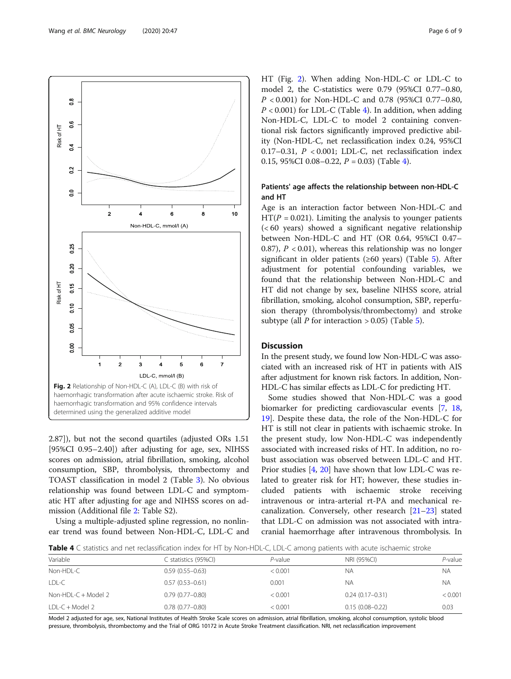2.87]), but not the second quartiles (adjusted ORs 1.51 [95%CI 0.95–2.40]) after adjusting for age, sex, NIHSS scores on admission, atrial fibrillation, smoking, alcohol consumption, SBP, thrombolysis, thrombectomy and TOAST classification in model 2 (Table [3\)](#page-4-0). No obvious relationship was found between LDL-C and symptomatic HT after adjusting for age and NIHSS scores on admission (Additional file [2](#page-7-0): Table S2).

Using a multiple-adjusted spline regression, no nonlinear trend was found between Non-HDL-C, LDL-C and HT (Fig. 2). When adding Non-HDL-C or LDL-C to model 2, the C-statistics were 0.79 (95%CI 0.77–0.80, P < 0.001) for Non-HDL-C and 0.78 (95%CI 0.77–0.80,  $P < 0.001$ ) for LDL-C (Table 4). In addition, when adding Non-HDL-C, LDL-C to model 2 containing conventional risk factors significantly improved predictive ability (Non-HDL-C, net reclassification index 0.24, 95%CI 0.17–0.31,  $P < 0.001$ ; LDL-C, net reclassification index 0.15, 95%CI 0.08-0.22,  $P = 0.03$  (Table 4).

## Patients' age affects the relationship between non-HDL-C and HT

Age is an interaction factor between Non-HDL-C and  $HT(P = 0.021)$ . Limiting the analysis to younger patients (< 60 years) showed a significant negative relationship between Non-HDL-C and HT (OR 0.64, 95%CI 0.47– 0.87),  $P < 0.01$ ), whereas this relationship was no longer significant in older patients ( $\geq 60$  years) (Table [5](#page-6-0)). After adjustment for potential confounding variables, we found that the relationship between Non-HDL-C and HT did not change by sex, baseline NIHSS score, atrial fibrillation, smoking, alcohol consumption, SBP, reperfusion therapy (thrombolysis/thrombectomy) and stroke subtype (all *P* for interaction  $> 0.05$  $> 0.05$ ) (Table 5).

#### **Discussion**

In the present study, we found low Non-HDL-C was associated with an increased risk of HT in patients with AIS after adjustment for known risk factors. In addition, Non-HDL-C has similar effects as LDL-C for predicting HT.

Some studies showed that Non-HDL-C was a good biomarker for predicting cardiovascular events [\[7](#page-7-0), [18](#page-8-0), [19\]](#page-8-0). Despite these data, the role of the Non-HDL-C for HT is still not clear in patients with ischaemic stroke. In the present study, low Non-HDL-C was independently associated with increased risks of HT. In addition, no robust association was observed between LDL-C and HT. Prior studies [[4,](#page-7-0) [20\]](#page-8-0) have shown that low LDL-C was related to greater risk for HT; however, these studies included patients with ischaemic stroke receiving intravenous or intra-arterial rt-PA and mechanical recanalization. Conversely, other research [[21](#page-8-0)–[23](#page-8-0)] stated that LDL-C on admission was not associated with intracranial haemorrhage after intravenous thrombolysis. In

Table 4 C statistics and net reclassification index for HT by Non-HDL-C, LDL-C among patients with acute ischaemic stroke

| <b>TWEE</b> I COMMONCE WHO HET ICHOSHICANON MOCH TO THE OF HOLL HE CHE COMMONIC MAN ACATE IS HIGH STRENGE |                      |         |                     |            |  |
|-----------------------------------------------------------------------------------------------------------|----------------------|---------|---------------------|------------|--|
| Variable                                                                                                  | C statistics (95%Cl) | P-value | NRI (95%CI)         | $P$ -value |  |
| Non-HDL-C                                                                                                 | $0.59(0.55 - 0.63)$  | < 0.001 | ΝA                  | NА         |  |
| LDL-C                                                                                                     | $0.57(0.53 - 0.61)$  | 0.001   | ΝA                  | <b>NA</b>  |  |
| Non-HDL-C $+$ Model 2                                                                                     | $0.79(0.77-0.80)$    | < 0.001 | $0.24(0.17-0.31)$   | < 0.001    |  |
| $LDL-C + Model 2$                                                                                         | $0.78(0.77 - 0.80)$  | < 0.001 | $0.15(0.08 - 0.22)$ | 0.03       |  |

Model 2 adjusted for age, sex, National Institutes of Health Stroke Scale scores on admission, atrial fibrillation, smoking, alcohol consumption, systolic blood pressure, thrombolysis, thrombectomy and the Trial of ORG 10172 in Acute Stroke Treatment classification. NRI, net reclassification improvement

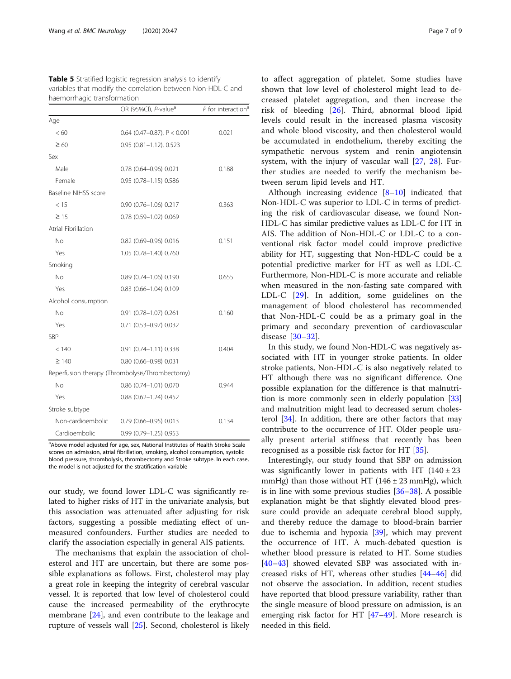<span id="page-6-0"></span>

| <b>Table 5</b> Stratified logistic regression analysis to identify |
|--------------------------------------------------------------------|
| variables that modify the correlation between Non-HDL-C and        |
| haemorrhagic transformation                                        |

|                      | OR (95%CI), P-value <sup>a</sup>                | $P$ for interaction <sup>a</sup> |
|----------------------|-------------------------------------------------|----------------------------------|
| Age                  |                                                 |                                  |
| < 60                 | $0.64$ (0.47-0.87), P < 0.001                   | 0.021                            |
| $\geq 60$            | 0.95 (0.81-1.12), 0.523                         |                                  |
| Sex                  |                                                 |                                  |
| Male                 | 0.78 (0.64-0.96) 0.021                          | 0.188                            |
| Female               | 0.95 (0.78-1.15) 0.586                          |                                  |
| Baseline NIHSS score |                                                 |                                  |
| < 15                 | $0.90(0.76 - 1.06)0.217$                        | 0.363                            |
| $\geq 15$            | 0.78 (0.59-1.02) 0.069                          |                                  |
| Atrial Fibrillation  |                                                 |                                  |
| <b>No</b>            | 0.82 (0.69-0.96) 0.016                          | 0.151                            |
| Yes                  | 1.05 (0.78-1.40) 0.760                          |                                  |
| Smoking              |                                                 |                                  |
| <b>No</b>            | 0.89 (0.74-1.06) 0.190                          | 0.655                            |
| Yes                  | $0.83$ $(0.66 - 1.04)$ $0.109$                  |                                  |
| Alcohol consumption  |                                                 |                                  |
| No                   | $0.91$ (0.78-1.07) 0.261                        | 0.160                            |
| Yes                  | 0.71 (0.53-0.97) 0.032                          |                                  |
| SBP                  |                                                 |                                  |
| < 140                | 0.91 (0.74-1.11) 0.338                          | 0.404                            |
| $\geq$ 140           | 0.80 (0.66-0.98) 0.031                          |                                  |
|                      | Reperfusion therapy (Thrombolysis/Thrombectomy) |                                  |
| N <sub>o</sub>       | 0.86 (0.74-1.01) 0.070                          | 0.944                            |
| Yes                  | $0.88$ (0.62-1.24) 0.452                        |                                  |
| Stroke subtype       |                                                 |                                  |
| Non-cardioembolic    | 0.79 (0.66-0.95) 0.013                          | 0.134                            |
| Cardioembolic        | $0.99$ (0.79-1.25) 0.953                        |                                  |

<sup>a</sup>Above model adjusted for age, sex, National Institutes of Health Stroke Scale scores on admission, atrial fibrillation, smoking, alcohol consumption, systolic blood pressure, thrombolysis, thrombectomy and Stroke subtype. In each case, the model is not adjusted for the stratification variable

our study, we found lower LDL-C was significantly related to higher risks of HT in the univariate analysis, but this association was attenuated after adjusting for risk factors, suggesting a possible mediating effect of unmeasured confounders. Further studies are needed to clarify the association especially in general AIS patients.

The mechanisms that explain the association of cholesterol and HT are uncertain, but there are some possible explanations as follows. First, cholesterol may play a great role in keeping the integrity of cerebral vascular vessel. It is reported that low level of cholesterol could cause the increased permeability of the erythrocyte membrane  $[24]$  $[24]$ , and even contribute to the leakage and rupture of vessels wall [[25\]](#page-8-0). Second, cholesterol is likely to affect aggregation of platelet. Some studies have shown that low level of cholesterol might lead to decreased platelet aggregation, and then increase the risk of bleeding [\[26](#page-8-0)]. Third, abnormal blood lipid levels could result in the increased plasma viscosity and whole blood viscosity, and then cholesterol would be accumulated in endothelium, thereby exciting the sympathetic nervous system and renin angiotensin system, with the injury of vascular wall [[27](#page-8-0), [28\]](#page-8-0). Further studies are needed to verify the mechanism between serum lipid levels and HT.

Although increasing evidence [\[8](#page-7-0)–[10\]](#page-7-0) indicated that Non-HDL-C was superior to LDL-C in terms of predicting the risk of cardiovascular disease, we found Non-HDL-C has similar predictive values as LDL-C for HT in AIS. The addition of Non-HDL-C or LDL-C to a conventional risk factor model could improve predictive ability for HT, suggesting that Non-HDL-C could be a potential predictive marker for HT as well as LDL-C. Furthermore, Non-HDL-C is more accurate and reliable when measured in the non-fasting sate compared with LDL-C [\[29\]](#page-8-0). In addition, some guidelines on the management of blood cholesterol has recommended that Non-HDL-C could be as a primary goal in the primary and secondary prevention of cardiovascular disease [\[30](#page-8-0)–[32](#page-8-0)].

In this study, we found Non-HDL-C was negatively associated with HT in younger stroke patients. In older stroke patients, Non-HDL-C is also negatively related to HT although there was no significant difference. One possible explanation for the difference is that malnutrition is more commonly seen in elderly population [[33](#page-8-0)] and malnutrition might lead to decreased serum cholesterol [[34\]](#page-8-0). In addition, there are other factors that may contribute to the occurrence of HT. Older people usually present arterial stiffness that recently has been recognised as a possible risk factor for HT [\[35](#page-8-0)].

Interestingly, our study found that SBP on admission was significantly lower in patients with HT  $(140 \pm 23)$ mmHg) than those without HT  $(146 \pm 23 \text{ mmHg})$ , which is in line with some previous studies [[36](#page-8-0)–[38](#page-8-0)]. A possible explanation might be that slightly elevated blood pressure could provide an adequate cerebral blood supply, and thereby reduce the damage to blood-brain barrier due to ischemia and hypoxia [\[39\]](#page-8-0), which may prevent the occurrence of HT. A much-debated question is whether blood pressure is related to HT. Some studies [[40](#page-8-0)–[43](#page-8-0)] showed elevated SBP was associated with increased risks of HT, whereas other studies [[44](#page-8-0)–[46](#page-8-0)] did not observe the association. In addition, recent studies have reported that blood pressure variability, rather than the single measure of blood pressure on admission, is an emerging risk factor for HT  $[47-49]$  $[47-49]$  $[47-49]$  $[47-49]$ . More research is needed in this field.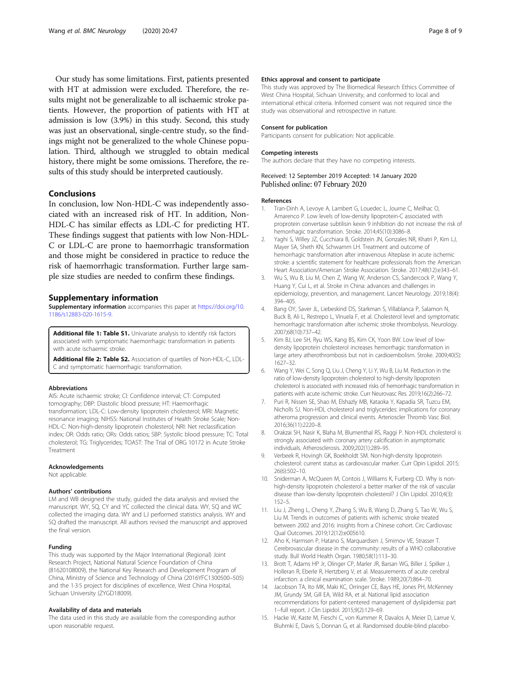<span id="page-7-0"></span>Our study has some limitations. First, patients presented with HT at admission were excluded. Therefore, the results might not be generalizable to all ischaemic stroke patients. However, the proportion of patients with HT at admission is low (3.9%) in this study. Second, this study was just an observational, single-centre study, so the findings might not be generalized to the whole Chinese population. Third, although we struggled to obtain medical history, there might be some omissions. Therefore, the results of this study should be interpreted cautiously.

#### Conclusions

In conclusion, low Non-HDL-C was independently associated with an increased risk of HT. In addition, Non-HDL-C has similar effects as LDL-C for predicting HT. These findings suggest that patients with low Non-HDL-C or LDL-C are prone to haemorrhagic transformation and those might be considered in practice to reduce the risk of haemorrhagic transformation. Further large sample size studies are needed to confirm these findings.

#### Supplementary information

Supplementary information accompanies this paper at [https://doi.org/10.](https://doi.org/10.1186/s12883-020-1615-9) [1186/s12883-020-1615-9.](https://doi.org/10.1186/s12883-020-1615-9)

Additional file 1: Table S1. Univariate analysis to identify risk factors associated with symptomatic haemorrhagic transformation in patients with acute ischaemic stroke.

Additional file 2: Table S2. Association of quartiles of Non-HDL-C, LDL-C and symptomatic haemorrhagic transformation.

#### Abbreviations

AIS: Acute ischaemic stroke; CI: Confidence interval; CT: Computed tomography; DBP: Diastolic blood pressure; HT: Haemorrhagic transformation; LDL-C: Low-density lipoprotein cholesterol; MRI: Magnetic resonance imaging; NIHSS: National Institutes of Health Stroke Scale; Non-HDL-C: Non-high-density lipoprotein cholesterol; NRI: Net reclassification index; OR: Odds ratio; ORs: Odds ratios; SBP: Systolic blood pressure; TC: Total cholesterol; TG: Triglycerides; TOAST: The Trial of ORG 10172 in Acute Stroke Treatment

#### Acknowledgements

Not applicable.

#### Authors' contributions

LM and WB designed the study, guided the data analysis and revised the manuscript. WY, SQ, CY and YC collected the clinical data. WY, SQ and WC collected the imaging data. WY and LJ performed statistics analysis. WY and SQ drafted the manuscript. All authors revised the manuscript and approved the final version.

#### Funding

This study was supported by the Major International (Regional) Joint Research Project, National Natural Science Foundation of China (81620108009), the National Key Research and Development Program of China, Ministry of Science and Technology of China (2016YFC1300500–505) and the 1·3·5 project for disciplines of excellence, West China Hospital, Sichuan University (ZYGD18009).

#### Availability of data and materials

The data used in this study are available from the corresponding author upon reasonable request.

#### Ethics approval and consent to participate

This study was approved by The Biomedical Research Ethics Committee of West China Hospital, Sichuan University, and conformed to local and international ethical criteria. Informed consent was not required since the study was observational and retrospective in nature.

#### Consent for publication

Participants consent for publication: Not applicable.

#### Competing interests

The authors declare that they have no competing interests.

#### Received: 12 September 2019 Accepted: 14 January 2020 Published online: 07 February 2020

#### References

- 1. Tran-Dinh A, Levoye A, Lambert G, Louedec L, Journe C, Meilhac O, Amarenco P. Low levels of low-density lipoprotein-C associated with proprotein convertase subtilisin kexin 9 inhibition do not increase the risk of hemorrhagic transformation. Stroke. 2014;45(10):3086–8.
- 2. Yaghi S, Willey JZ, Cucchiara B, Goldstein JN, Gonzales NR, Khatri P, Kim LJ, Mayer SA, Sheth KN, Schwamm LH. Treatment and outcome of hemorrhagic transformation after intravenous Alteplase in acute ischemic stroke: a scientific statement for healthcare professionals from the American Heart Association/American Stroke Association. Stroke. 2017;48(12):e343–61.
- 3. Wu S, Wu B, Liu M, Chen Z, Wang W, Anderson CS, Sandercock P, Wang Y, Huang Y, Cui L, et al. Stroke in China: advances and challenges in epidemiology, prevention, and management. Lancet Neurology. 2019;18(4): 394–405.
- 4. Bang OY, Saver JL, Liebeskind DS, Starkman S, Villablanca P, Salamon N, Buck B, Ali L, Restrepo L, Vinuela F, et al. Cholesterol level and symptomatic hemorrhagic transformation after ischemic stroke thrombolysis. Neurology. 2007;68(10):737–42.
- 5. Kim BJ, Lee SH, Ryu WS, Kang BS, Kim CK, Yoon BW. Low level of lowdensity lipoprotein cholesterol increases hemorrhagic transformation in large artery atherothrombosis but not in cardioembolism. Stroke. 2009;40(5): 1627–32.
- 6. Wang Y, Wei C, Song Q, Liu J, Cheng Y, Li Y, Wu B, Liu M. Reduction in the ratio of low-density lipoprotein cholesterol to high-density lipoprotein cholesterol is associated with increased risks of hemorrhagic transformation in patients with acute ischemic stroke. Curr Neurovasc Res. 2019;16(2):266–72.
- 7. Puri R, Nissen SE, Shao M, Elshazly MB, Kataoka Y, Kapadia SR, Tuzcu EM, Nicholls SJ. Non-HDL cholesterol and triglycerides: implications for coronary atheroma progression and clinical events. Arterioscler Thromb Vasc Biol. 2016;36(11):2220–8.
- 8. Orakzai SH, Nasir K, Blaha M, Blumenthal RS, Raggi P. Non-HDL cholesterol is strongly associated with coronary artery calcification in asymptomatic individuals. Atherosclerosis. 2009;202(1):289–95.
- 9. Verbeek R, Hovingh GK, Boekholdt SM. Non-high-density lipoprotein cholesterol: current status as cardiovascular marker. Curr Opin Lipidol. 2015; 26(6):502–10.
- 10. Sniderman A, McQueen M, Contois J, Williams K, Furberg CD. Why is nonhigh-density lipoprotein cholesterol a better marker of the risk of vascular disease than low-density lipoprotein cholesterol? J Clin Lipidol. 2010;4(3): 152–5.
- 11. Liu J, Zheng L, Cheng Y, Zhang S, Wu B, Wang D, Zhang S, Tao W, Wu S, Liu M. Trends in outcomes of patients with ischemic stroke treated between 2002 and 2016: insights from a Chinese cohort. Circ Cardiovasc Qual Outcomes. 2019;12(12):e005610.
- 12. Aho K, Harmsen P, Hatano S, Marquardsen J, Smirnov VE, Strasser T. Cerebrovascular disease in the community: results of a WHO collaborative study. Bull World Health Organ. 1980;58(1):113–30.
- 13. Brott T, Adams HP Jr, Olinger CP, Marler JR, Barsan WG, Biller J, Spilker J, Holleran R, Eberle R, Hertzberg V, et al. Measurements of acute cerebral infarction: a clinical examination scale. Stroke. 1989;20(7):864–70.
- 14. Jacobson TA, Ito MK, Maki KC, Orringer CE, Bays HE, Jones PH, McKenney JM, Grundy SM, Gill EA, Wild RA, et al. National lipid association recommendations for patient-centered management of dyslipidemia: part 1--full report. J Clin Lipidol. 2015;9(2):129–69.
- 15. Hacke W, Kaste M, Fieschi C, von Kummer R, Davalos A, Meier D, Larrue V, Bluhmki E, Davis S, Donnan G, et al. Randomised double-blind placebo-